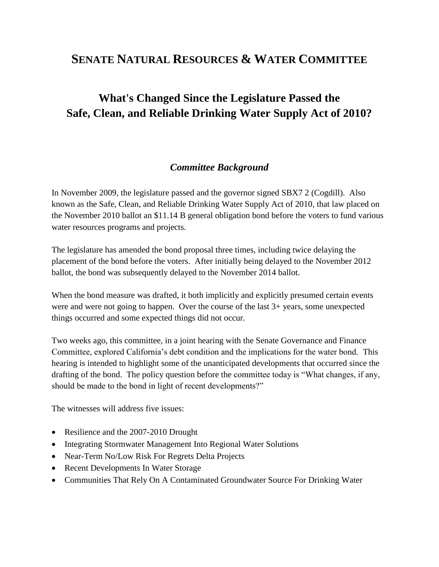# **SENATE NATURAL RESOURCES & WATER COMMITTEE**

# **What's Changed Since the Legislature Passed the Safe, Clean, and Reliable Drinking Water Supply Act of 2010?**

#### *Committee Background*

In November 2009, the legislature passed and the governor signed SBX7 2 (Cogdill). Also known as the Safe, Clean, and Reliable Drinking Water Supply Act of 2010, that law placed on the November 2010 ballot an \$11.14 B general obligation bond before the voters to fund various water resources programs and projects.

The legislature has amended the bond proposal three times, including twice delaying the placement of the bond before the voters. After initially being delayed to the November 2012 ballot, the bond was subsequently delayed to the November 2014 ballot.

When the bond measure was drafted, it both implicitly and explicitly presumed certain events were and were not going to happen. Over the course of the last 3+ years, some unexpected things occurred and some expected things did not occur.

Two weeks ago, this committee, in a joint hearing with the Senate Governance and Finance Committee, explored California's debt condition and the implications for the water bond. This hearing is intended to highlight some of the unanticipated developments that occurred since the drafting of the bond. The policy question before the committee today is "What changes, if any, should be made to the bond in light of recent developments?"

The witnesses will address five issues:

- Resilience and the 2007-2010 Drought
- Integrating Stormwater Management Into Regional Water Solutions
- Near-Term No/Low Risk For Regrets Delta Projects
- Recent Developments In Water Storage
- Communities That Rely On A Contaminated Groundwater Source For Drinking Water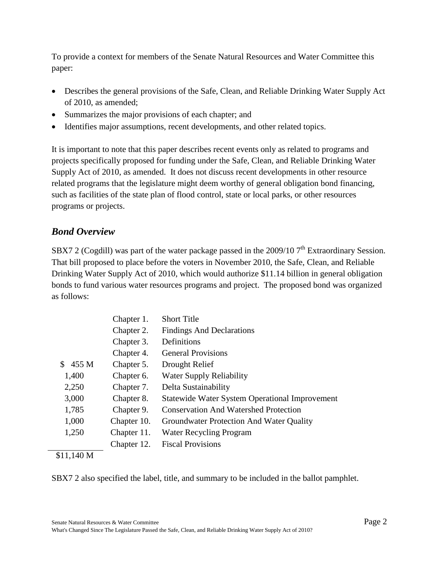To provide a context for members of the Senate Natural Resources and Water Committee this paper:

- Describes the general provisions of the Safe, Clean, and Reliable Drinking Water Supply Act of 2010, as amended;
- Summarizes the major provisions of each chapter; and
- Identifies major assumptions, recent developments, and other related topics.

It is important to note that this paper describes recent events only as related to programs and projects specifically proposed for funding under the Safe, Clean, and Reliable Drinking Water Supply Act of 2010, as amended. It does not discuss recent developments in other resource related programs that the legislature might deem worthy of general obligation bond financing, such as facilities of the state plan of flood control, state or local parks, or other resources programs or projects.

## *Bond Overview*

SBX7 2 (Cogdill) was part of the water package passed in the 2009/10  $7<sup>th</sup>$  Extraordinary Session. That bill proposed to place before the voters in November 2010, the Safe, Clean, and Reliable Drinking Water Supply Act of 2010, which would authorize \$11.14 billion in general obligation bonds to fund various water resources programs and project. The proposed bond was organized as follows:

|             | Chapter 1.  | <b>Short Title</b>                                    |
|-------------|-------------|-------------------------------------------------------|
|             | Chapter 2.  | <b>Findings And Declarations</b>                      |
|             | Chapter 3.  | Definitions                                           |
|             | Chapter 4.  | <b>General Provisions</b>                             |
| 455 M<br>S. | Chapter 5.  | Drought Relief                                        |
| 1,400       | Chapter 6.  | <b>Water Supply Reliability</b>                       |
| 2,250       | Chapter 7.  | Delta Sustainability                                  |
| 3,000       | Chapter 8.  | <b>Statewide Water System Operational Improvement</b> |
| 1,785       | Chapter 9.  | <b>Conservation And Watershed Protection</b>          |
| 1,000       | Chapter 10. | Groundwater Protection And Water Quality              |
| 1,250       | Chapter 11. | <b>Water Recycling Program</b>                        |
|             | Chapter 12. | <b>Fiscal Provisions</b>                              |

#### \$11,140 M

SBX7 2 also specified the label, title, and summary to be included in the ballot pamphlet.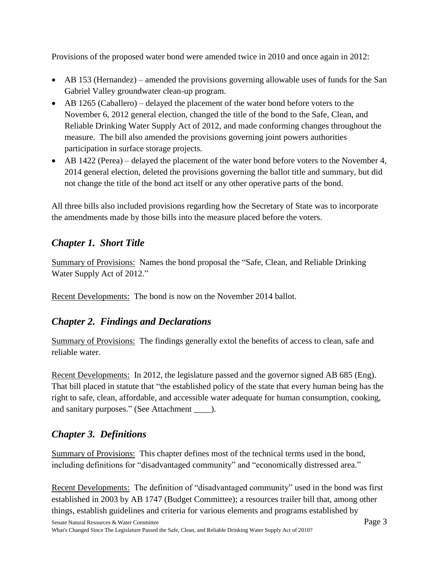Provisions of the proposed water bond were amended twice in 2010 and once again in 2012:

- AB 153 (Hernandez) amended the provisions governing allowable uses of funds for the San Gabriel Valley groundwater clean-up program.
- AB 1265 (Caballero) delayed the placement of the water bond before voters to the November 6, 2012 general election, changed the title of the bond to the Safe, Clean, and Reliable Drinking Water Supply Act of 2012, and made conforming changes throughout the measure. The bill also amended the provisions governing joint powers authorities participation in surface storage projects.
- AB 1422 (Perea) delayed the placement of the water bond before voters to the November 4, 2014 general election, deleted the provisions governing the ballot title and summary, but did not change the title of the bond act itself or any other operative parts of the bond.

All three bills also included provisions regarding how the Secretary of State was to incorporate the amendments made by those bills into the measure placed before the voters.

## *Chapter 1. Short Title*

Summary of Provisions: Names the bond proposal the "Safe, Clean, and Reliable Drinking Water Supply Act of 2012."

Recent Developments: The bond is now on the November 2014 ballot.

## *Chapter 2. Findings and Declarations*

Summary of Provisions: The findings generally extol the benefits of access to clean, safe and reliable water.

Recent Developments: In 2012, the legislature passed and the governor signed AB 685 (Eng). That bill placed in statute that "the established policy of the state that every human being has the right to safe, clean, affordable, and accessible water adequate for human consumption, cooking, and sanitary purposes." (See Attachment \_\_\_\_).

## *Chapter 3. Definitions*

Summary of Provisions: This chapter defines most of the technical terms used in the bond, including definitions for "disadvantaged community" and "economically distressed area."

Recent Developments: The definition of "disadvantaged community" used in the bond was first established in 2003 by AB 1747 (Budget Committee); a resources trailer bill that, among other things, establish guidelines and criteria for various elements and programs established by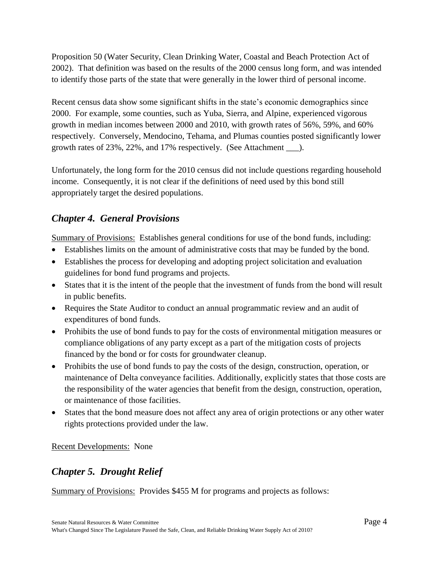Proposition 50 (Water Security, Clean Drinking Water, Coastal and Beach Protection Act of 2002). That definition was based on the results of the 2000 census long form, and was intended to identify those parts of the state that were generally in the lower third of personal income.

Recent census data show some significant shifts in the state's economic demographics since 2000. For example, some counties, such as Yuba, Sierra, and Alpine, experienced vigorous growth in median incomes between 2000 and 2010, with growth rates of 56%, 59%, and 60% respectively. Conversely, Mendocino, Tehama, and Plumas counties posted significantly lower growth rates of 23%, 22%, and 17% respectively. (See Attachment \_\_\_).

Unfortunately, the long form for the 2010 census did not include questions regarding household income. Consequently, it is not clear if the definitions of need used by this bond still appropriately target the desired populations.

## *Chapter 4. General Provisions*

Summary of Provisions: Establishes general conditions for use of the bond funds, including:

- Establishes limits on the amount of administrative costs that may be funded by the bond.
- Establishes the process for developing and adopting project solicitation and evaluation guidelines for bond fund programs and projects.
- States that it is the intent of the people that the investment of funds from the bond will result in public benefits.
- Requires the State Auditor to conduct an annual programmatic review and an audit of expenditures of bond funds.
- Prohibits the use of bond funds to pay for the costs of environmental mitigation measures or compliance obligations of any party except as a part of the mitigation costs of projects financed by the bond or for costs for groundwater cleanup.
- Prohibits the use of bond funds to pay the costs of the design, construction, operation, or maintenance of Delta conveyance facilities. Additionally, explicitly states that those costs are the responsibility of the water agencies that benefit from the design, construction, operation, or maintenance of those facilities.
- States that the bond measure does not affect any area of origin protections or any other water rights protections provided under the law.

Recent Developments: None

## *Chapter 5. Drought Relief*

Summary of Provisions: Provides \$455 M for programs and projects as follows: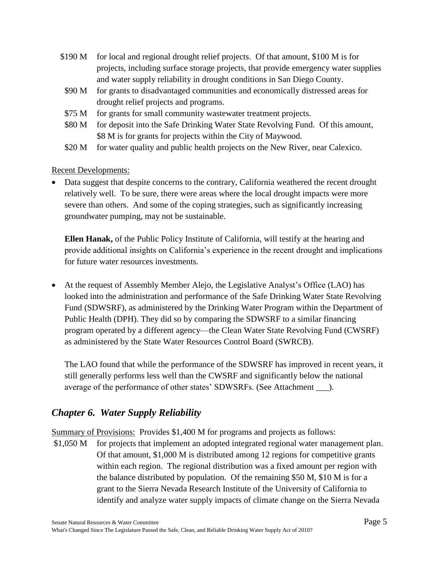- \$190 M for local and regional drought relief projects. Of that amount, \$100 M is for projects, including surface storage projects, that provide emergency water supplies and water supply reliability in drought conditions in San Diego County.
	- \$90 M for grants to disadvantaged communities and economically distressed areas for drought relief projects and programs.
	- \$75 M for grants for small community wastewater treatment projects.
- \$80 M for deposit into the Safe Drinking Water State Revolving Fund. Of this amount, \$8 M is for grants for projects within the City of Maywood.
- \$20 M for water quality and public health projects on the New River, near Calexico.

#### Recent Developments:

• Data suggest that despite concerns to the contrary, California weathered the recent drought relatively well. To be sure, there were areas where the local drought impacts were more severe than others. And some of the coping strategies, such as significantly increasing groundwater pumping, may not be sustainable.

**Ellen Hanak,** of the Public Policy Institute of California, will testify at the hearing and provide additional insights on California's experience in the recent drought and implications for future water resources investments.

 At the request of Assembly Member Alejo, the Legislative Analyst's Office (LAO) has looked into the administration and performance of the Safe Drinking Water State Revolving Fund (SDWSRF), as administered by the Drinking Water Program within the Department of Public Health (DPH). They did so by comparing the SDWSRF to a similar financing program operated by a different agency—the Clean Water State Revolving Fund (CWSRF) as administered by the State Water Resources Control Board (SWRCB).

The LAO found that while the performance of the SDWSRF has improved in recent years, it still generally performs less well than the CWSRF and significantly below the national average of the performance of other states' SDWSRFs. (See Attachment \_\_\_).

## *Chapter 6. Water Supply Reliability*

Summary of Provisions: Provides \$1,400 M for programs and projects as follows:

\$1,050 M for projects that implement an adopted integrated regional water management plan. Of that amount, \$1,000 M is distributed among 12 regions for competitive grants within each region. The regional distribution was a fixed amount per region with the balance distributed by population. Of the remaining \$50 M, \$10 M is for a grant to the Sierra Nevada Research Institute of the University of California to identify and analyze water supply impacts of climate change on the Sierra Nevada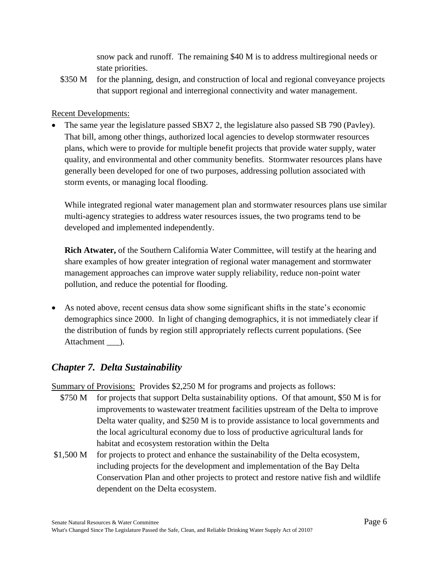snow pack and runoff. The remaining \$40 M is to address multiregional needs or state priorities.

\$350 M for the planning, design, and construction of local and regional conveyance projects that support regional and interregional connectivity and water management.

#### Recent Developments:

• The same year the legislature passed SBX7 2, the legislature also passed SB 790 (Pavley). That bill, among other things, authorized local agencies to develop stormwater resources plans, which were to provide for multiple benefit projects that provide water supply, water quality, and environmental and other community benefits. Stormwater resources plans have generally been developed for one of two purposes, addressing pollution associated with storm events, or managing local flooding.

While integrated regional water management plan and stormwater resources plans use similar multi-agency strategies to address water resources issues, the two programs tend to be developed and implemented independently.

**Rich Atwater,** of the Southern California Water Committee, will testify at the hearing and share examples of how greater integration of regional water management and stormwater management approaches can improve water supply reliability, reduce non-point water pollution, and reduce the potential for flooding.

 As noted above, recent census data show some significant shifts in the state's economic demographics since 2000. In light of changing demographics, it is not immediately clear if the distribution of funds by region still appropriately reflects current populations. (See Attachment ).

## *Chapter 7. Delta Sustainability*

Summary of Provisions: Provides \$2,250 M for programs and projects as follows:

- \$750 M for projects that support Delta sustainability options. Of that amount, \$50 M is for improvements to wastewater treatment facilities upstream of the Delta to improve Delta water quality, and \$250 M is to provide assistance to local governments and the local agricultural economy due to loss of productive agricultural lands for habitat and ecosystem restoration within the Delta
- \$1,500 M for projects to protect and enhance the sustainability of the Delta ecosystem, including projects for the development and implementation of the Bay Delta Conservation Plan and other projects to protect and restore native fish and wildlife dependent on the Delta ecosystem.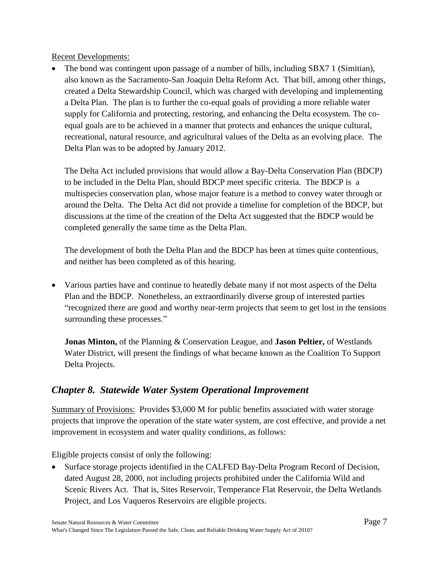Recent Developments:

 The bond was contingent upon passage of a number of bills, including SBX7 1 (Simitian), also known as the Sacramento-San Joaquin Delta Reform Act. That bill, among other things, created a Delta Stewardship Council, which was charged with developing and implementing a Delta Plan. The plan is to further the co-equal goals of providing a more reliable water supply for California and protecting, restoring, and enhancing the Delta ecosystem. The coequal goals are to be achieved in a manner that protects and enhances the unique cultural, recreational, natural resource, and agricultural values of the Delta as an evolving place. The Delta Plan was to be adopted by January 2012.

The Delta Act included provisions that would allow a Bay-Delta Conservation Plan (BDCP) to be included in the Delta Plan, should BDCP meet specific criteria. The BDCP is a multispecies conservation plan, whose major feature is a method to convey water through or around the Delta. The Delta Act did not provide a timeline for completion of the BDCP, but discussions at the time of the creation of the Delta Act suggested that the BDCP would be completed generally the same time as the Delta Plan.

The development of both the Delta Plan and the BDCP has been at times quite contentious, and neither has been completed as of this hearing.

 Various parties have and continue to heatedly debate many if not most aspects of the Delta Plan and the BDCP. Nonetheless, an extraordinarily diverse group of interested parties "recognized there are good and worthy near-term projects that seem to get lost in the tensions surrounding these processes."

**Jonas Minton,** of the Planning & Conservation League, and **Jason Peltier,** of Westlands Water District, will present the findings of what became known as the Coalition To Support Delta Projects.

## *Chapter 8. Statewide Water System Operational Improvement*

Summary of Provisions: Provides \$3,000 M for public benefits associated with water storage projects that improve the operation of the state water system, are cost effective, and provide a net improvement in ecosystem and water quality conditions, as follows:

Eligible projects consist of only the following:

 Surface storage projects identified in the CALFED Bay-Delta Program Record of Decision, dated August 28, 2000, not including projects prohibited under the California Wild and Scenic Rivers Act. That is, Sites Reservoir, Temperance Flat Reservoir, the Delta Wetlands Project, and Los Vaqueros Reservoirs are eligible projects.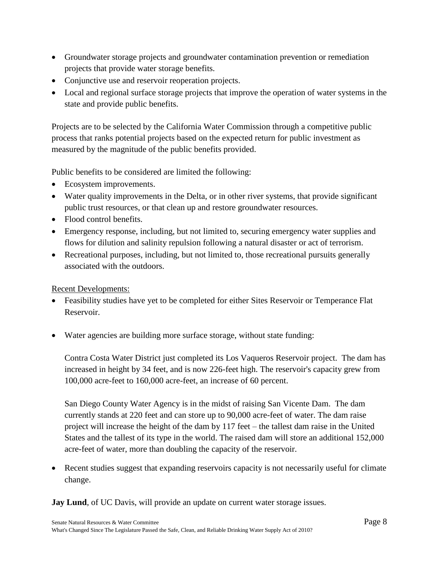- Groundwater storage projects and groundwater contamination prevention or remediation projects that provide water storage benefits.
- Conjunctive use and reservoir reoperation projects.
- Local and regional surface storage projects that improve the operation of water systems in the state and provide public benefits.

Projects are to be selected by the California Water Commission through a competitive public process that ranks potential projects based on the expected return for public investment as measured by the magnitude of the public benefits provided.

Public benefits to be considered are limited the following:

- Ecosystem improvements.
- Water quality improvements in the Delta, or in other river systems, that provide significant public trust resources, or that clean up and restore groundwater resources.
- Flood control benefits.
- Emergency response, including, but not limited to, securing emergency water supplies and flows for dilution and salinity repulsion following a natural disaster or act of terrorism.
- Recreational purposes, including, but not limited to, those recreational pursuits generally associated with the outdoors.

Recent Developments:

- Feasibility studies have yet to be completed for either Sites Reservoir or Temperance Flat Reservoir.
- Water agencies are building more surface storage, without state funding:

Contra Costa Water District just completed its Los Vaqueros Reservoir project. The dam has increased in height by 34 feet, and is now 226-feet high. The reservoir's capacity grew from 100,000 acre-feet to 160,000 acre-feet, an increase of 60 percent.

San Diego County Water Agency is in the midst of raising San Vicente Dam. The dam currently stands at 220 feet and can store up to 90,000 acre-feet of water. The dam raise project will increase the height of the dam by 117 feet – the tallest dam raise in the United States and the tallest of its type in the world. The raised dam will store an additional 152,000 acre-feet of water, more than doubling the capacity of the reservoir.

 Recent studies suggest that expanding reservoirs capacity is not necessarily useful for climate change.

**Jay Lund**, of UC Davis, will provide an update on current water storage issues.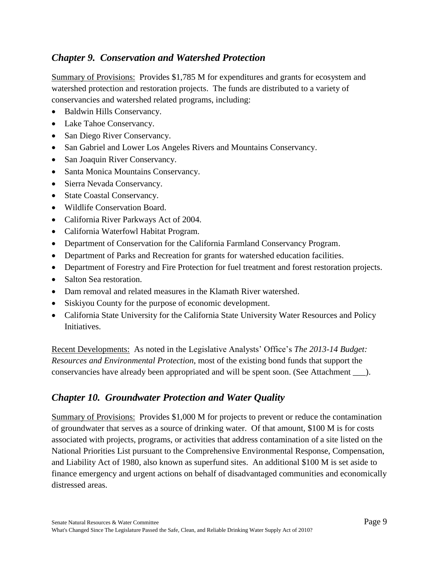### *Chapter 9. Conservation and Watershed Protection*

Summary of Provisions: Provides \$1,785 M for expenditures and grants for ecosystem and watershed protection and restoration projects. The funds are distributed to a variety of conservancies and watershed related programs, including:

- Baldwin Hills Conservancy.
- Lake Tahoe Conservancy.
- San Diego River Conservancy.
- San Gabriel and Lower Los Angeles Rivers and Mountains Conservancy.
- San Joaquin River Conservancy.
- Santa Monica Mountains Conservancy.
- Sierra Nevada Conservancy.
- State Coastal Conservancy.
- Wildlife Conservation Board.
- California River Parkways Act of 2004.
- California Waterfowl Habitat Program.
- Department of Conservation for the California Farmland Conservancy Program.
- Department of Parks and Recreation for grants for watershed education facilities.
- Department of Forestry and Fire Protection for fuel treatment and forest restoration projects.
- Salton Sea restoration.
- Dam removal and related measures in the Klamath River watershed.
- Siskiyou County for the purpose of economic development.
- California State University for the California State University Water Resources and Policy Initiatives.

Recent Developments: As noted in the Legislative Analysts' Office's *The 2013-14 Budget: Resources and Environmental Protection*, most of the existing bond funds that support the conservancies have already been appropriated and will be spent soon. (See Attachment \_\_\_).

## *Chapter 10. Groundwater Protection and Water Quality*

Summary of Provisions: Provides \$1,000 M for projects to prevent or reduce the contamination of groundwater that serves as a source of drinking water. Of that amount, \$100 M is for costs associated with projects, programs, or activities that address contamination of a site listed on the National Priorities List pursuant to the Comprehensive Environmental Response, Compensation, and Liability Act of 1980, also known as superfund sites. An additional \$100 M is set aside to finance emergency and urgent actions on behalf of disadvantaged communities and economically distressed areas.